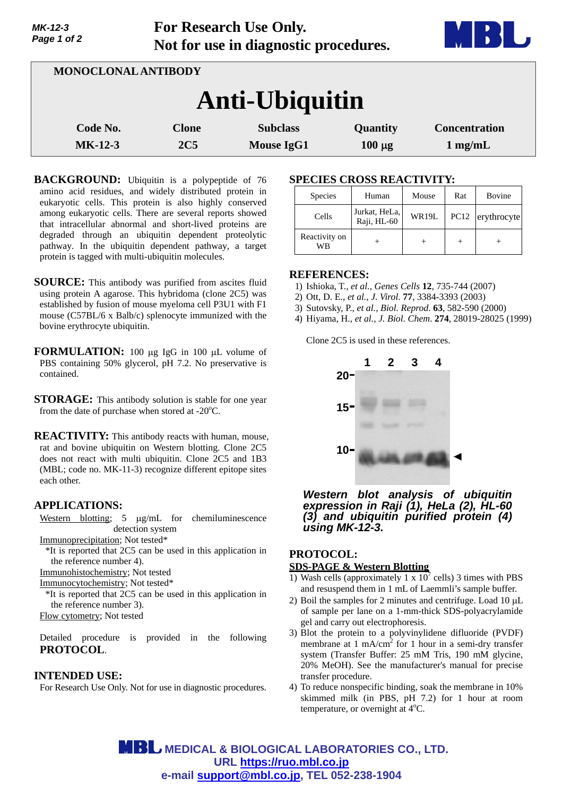| Page 1 of 2<br>Not for use in diagnostic procedures. |                                 |                                      |                         |                                           |
|------------------------------------------------------|---------------------------------|--------------------------------------|-------------------------|-------------------------------------------|
| MONOCLONAL ANTIBODY                                  |                                 |                                      |                         |                                           |
|                                                      |                                 | <b>Anti-Ubiquitin</b>                |                         |                                           |
| Code No.<br>$MK-12-3$                                | <b>Clone</b><br>2C <sub>5</sub> | <b>Subclass</b><br><b>Mouse IgG1</b> | Quantity<br>$100 \mu g$ | <b>Concentration</b><br>$1 \text{ mg/mL}$ |

**For Research Use Only.**

- **BACKGROUND:** Ubiquitin is a polypeptide of 76 amino acid residues, and widely distributed protein in eukaryotic cells. This protein is also highly conserved among eukaryotic cells. There are several reports showed that intracellular abnormal and short-lived proteins are degraded through an ubiquitin dependent proteolytic pathway. In the ubiquitin dependent pathway, a target protein is tagged with multi-ubiquitin molecules.
- **SOURCE:** This antibody was purified from ascites fluid using protein A agarose. This hybridoma (clone 2C5) was established by fusion of mouse myeloma cell P3U1 with F1 mouse (C57BL/6 x Balb/c) splenocyte immunized with the bovine erythrocyte ubiquitin.
- **FORMULATION:** 100 µg IgG in 100 µL volume of PBS containing 50% glycerol, pH 7.2. No preservative is contained.
- **STORAGE:** This antibody solution is stable for one year from the date of purchase when stored at - $20^{\circ}$ C.
- **REACTIVITY:** This antibody reacts with human, mouse, rat and bovine ubiquitin on Western blotting. Clone 2C5 does not react with multi ubiquitin. Clone 2C5 and 1B3 (MBL; code no. MK-11-3) recognize different epitope sites each other.

### **APPLICATIONS:**

*MK-12-3* 

Western blotting;  $5 \mu g/mL$  for chemiluminescence detection system

Immunoprecipitation; Not tested\*

\*It is reported that 2C5 can be used in this application in the reference number 4).

Immunohistochemistry; Not tested

Immunocytochemistry; Not tested\*

\*It is reported that 2C5 can be used in this application in the reference number 3).

Flow cytometry; Not tested

Detailed procedure is provided in the following **PROTOCOL**.

#### **INTENDED USE:**

For Research Use Only. Not for use in diagnostic procedures.

## **SPECIES CROSS REACTIVITY:**

| <b>Species</b>      | Human                        | Mouse        | Rat         | Bovine      |
|---------------------|------------------------------|--------------|-------------|-------------|
| Cells               | Jurkat, HeLa,<br>Raji, HL-60 | <b>WR19L</b> | <b>PC12</b> | erythrocyte |
| Reactivity on<br>WВ |                              |              |             |             |

## **REFERENCES:**

- 1) Ishioka, T., *et al., Genes Cells* **12**, 735-744 (2007)
- 2) Ott, D. E., *et al., J. Virol.* **77**, 3384-3393 (2003)
- 3) Sutovsky, P., *et al., Biol. Reprod*. **63**, 582-590 (2000)
- 4) Hiyama, H., *et al., J. Biol. Chem*. **274**, 28019-28025 (1999)

Clone 2C5 is used in these references.



*Western blot analysis of ubiquitin expression in Raji (1), HeLa (2), HL-60 (3) and ubiquitin purified protein (4) using MK-12-3.* 

### **PROTOCOL:**

#### **SDS-PAGE & Western Blotting**

- 1) Wash cells (approximately 1 x  $10^7$  cells) 3 times with PBS and resuspend them in 1 mL of Laemmli's sample buffer.
- 2) Boil the samples for 2 minutes and centrifuge. Load  $10 \mu L$ of sample per lane on a 1-mm-thick SDS-polyacrylamide gel and carry out electrophoresis.
- 3) Blot the protein to a polyvinylidene difluoride (PVDF) membrane at  $1 \text{ mA/cm}^2$  for  $1 \text{ hour}$  in a semi-dry transfer system (Transfer Buffer: 25 mM Tris, 190 mM glycine, 20% MeOH). See the manufacturer's manual for precise transfer procedure.
- 4) To reduce nonspecific binding, soak the membrane in 10% skimmed milk (in PBS, pH 7.2) for 1 hour at room temperature, or overnight at 4°C.

**MBL** MEDICAL & BIOLOGICAL LABORATORIES CO., LTD. **URL https://ruo.mbl.co.jp e-mail support@mbl.co.jp, TEL 052-238-1904**